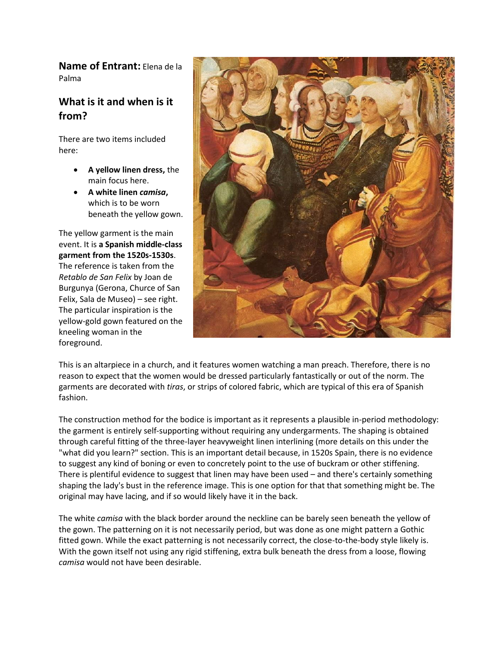**Name of Entrant:** Elena de la Palma

## **What is it and when is it from?**

There are two items included here:

- **A yellow linen dress,** the main focus here.
- **A white linen** *camisa***,**  which is to be worn beneath the yellow gown.

The yellow garment is the main event. It is **a Spanish middle-class garment from the 1520s-1530s**. The reference is taken from the *Retablo de San Felix* by Joan de Burgunya (Gerona, Churce of San Felix, Sala de Museo) – see right. The particular inspiration is the yellow-gold gown featured on the kneeling woman in the foreground.



This is an altarpiece in a church, and it features women watching a man preach. Therefore, there is no reason to expect that the women would be dressed particularly fantastically or out of the norm. The garments are decorated with *tiras*, or strips of colored fabric, which are typical of this era of Spanish fashion.

The construction method for the bodice is important as it represents a plausible in-period methodology: the garment is entirely self-supporting without requiring any undergarments. The shaping is obtained through careful fitting of the three-layer heavyweight linen interlining (more details on this under the "what did you learn?" section. This is an important detail because, in 1520s Spain, there is no evidence to suggest any kind of boning or even to concretely point to the use of buckram or other stiffening. There is plentiful evidence to suggest that linen may have been used – and there's certainly something shaping the lady's bust in the reference image. This is one option for that that something might be. The original may have lacing, and if so would likely have it in the back.

The white *camisa* with the black border around the neckline can be barely seen beneath the yellow of the gown. The patterning on it is not necessarily period, but was done as one might pattern a Gothic fitted gown. While the exact patterning is not necessarily correct, the close-to-the-body style likely is. With the gown itself not using any rigid stiffening, extra bulk beneath the dress from a loose, flowing *camisa* would not have been desirable.